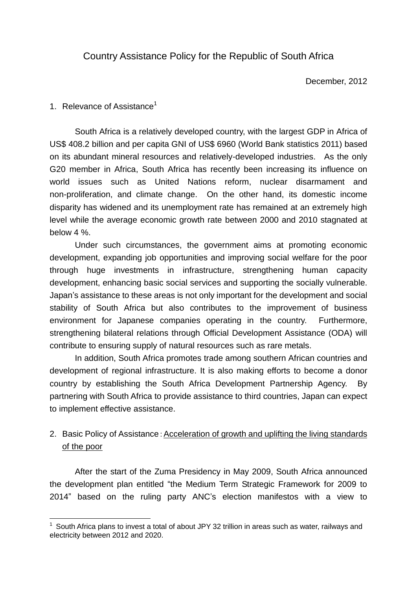# Country Assistance Policy for the Republic of South Africa

December, 2012

### 1. Relevance of Assistance<sup>1</sup>

 $\overline{a}$ 

South Africa is a relatively developed country, with the largest GDP in Africa of US\$ 408.2 billion and per capita GNI of US\$ 6960 (World Bank statistics 2011) based on its abundant mineral resources and relatively-developed industries. As the only G20 member in Africa, South Africa has recently been increasing its influence on world issues such as United Nations reform, nuclear disarmament and non-proliferation, and climate change. On the other hand, its domestic income disparity has widened and its unemployment rate has remained at an extremely high level while the average economic growth rate between 2000 and 2010 stagnated at below 4 %.

Under such circumstances, the government aims at promoting economic development, expanding job opportunities and improving social welfare for the poor through huge investments in infrastructure, strengthening human capacity development, enhancing basic social services and supporting the socially vulnerable. Japan's assistance to these areas is not only important for the development and social stability of South Africa but also contributes to the improvement of business environment for Japanese companies operating in the country. Furthermore, strengthening bilateral relations through Official Development Assistance (ODA) will contribute to ensuring supply of natural resources such as rare metals.

In addition, South Africa promotes trade among southern African countries and development of regional infrastructure. It is also making efforts to become a donor country by establishing the South Africa Development Partnership Agency. By partnering with South Africa to provide assistance to third countries, Japan can expect to implement effective assistance.

# 2. Basic Policy of Assistance: Acceleration of growth and uplifting the living standards of the poor

After the start of the Zuma Presidency in May 2009, South Africa announced the development plan entitled "the Medium Term Strategic Framework for 2009 to 2014" based on the ruling party ANC's election manifestos with a view to

 $1$  South Africa plans to invest a total of about JPY 32 trillion in areas such as water, railways and electricity between 2012 and 2020.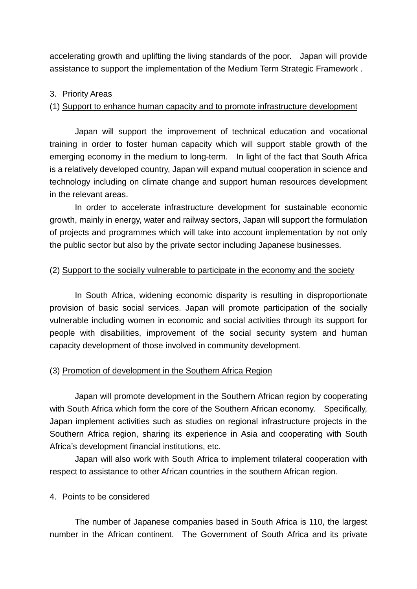accelerating growth and uplifting the living standards of the poor. Japan will provide assistance to support the implementation of the Medium Term Strategic Framework .

### 3. Priority Areas

#### (1) Support to enhance human capacity and to promote infrastructure development

Japan will support the improvement of technical education and vocational training in order to foster human capacity which will support stable growth of the emerging economy in the medium to long-term. In light of the fact that South Africa is a relatively developed country, Japan will expand mutual cooperation in science and technology including on climate change and support human resources development in the relevant areas.

In order to accelerate infrastructure development for sustainable economic growth, mainly in energy, water and railway sectors, Japan will support the formulation of projects and programmes which will take into account implementation by not only the public sector but also by the private sector including Japanese businesses.

#### (2) Support to the socially vulnerable to participate in the economy and the society

In South Africa, widening economic disparity is resulting in disproportionate provision of basic social services. Japan will promote participation of the socially vulnerable including women in economic and social activities through its support for people with disabilities, improvement of the social security system and human capacity development of those involved in community development.

## (3) Promotion of development in the Southern Africa Region

Japan will promote development in the Southern African region by cooperating with South Africa which form the core of the Southern African economy. Specifically, Japan implement activities such as studies on regional infrastructure projects in the Southern Africa region, sharing its experience in Asia and cooperating with South Africa's development financial institutions, etc.

Japan will also work with South Africa to implement trilateral cooperation with respect to assistance to other African countries in the southern African region.

#### 4. Points to be considered

The number of Japanese companies based in South Africa is 110, the largest number in the African continent. The Government of South Africa and its private